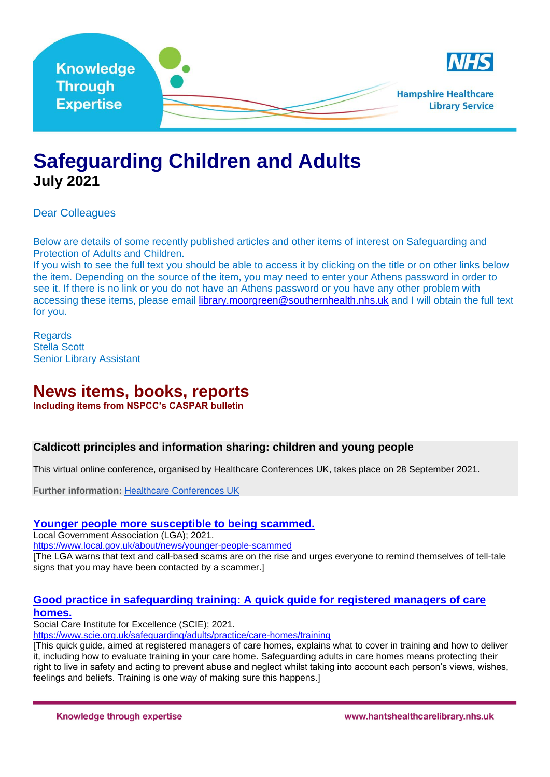

# **Safeguarding Children and Adults July 2021**

Dear Colleagues

Below are details of some recently published articles and other items of interest on Safeguarding and Protection of Adults and Children.

If you wish to see the full text you should be able to access it by clicking on the title or on other links below the item. Depending on the source of the item, you may need to enter your Athens password in order to see it. If there is no link or you do not have an Athens password or you have any other problem with accessing these items, please email [library.moorgreen@southernhealth.nhs.uk](mailto:library.tatchbury@southernhealth.nhs.uk) and I will obtain the full text for you.

Regards Stella Scott Senior Library Assistant

# **News items, books, reports**

**Including items from NSPCC's CASPAR bulletin**

### **Caldicott principles and information sharing: children and young people**

This virtual online conference, organised by Healthcare Conferences UK, takes place on 28 September 2021.

**Further information:** [Healthcare Conferences UK](http://email.nspcc.org.uk/c/1dBRPogks3xgHH9RYwbc2zQNvL)

### **[Younger people more susceptible to being scammed.](http://comm.knowledgeshare.nhs.uk/ls/click?upn=YnEWmuYbtE6gkNOaYoAaGEC6oO-2FXBMUUGS9IFg5FELKmABe-2FpPE5GvsFYpb8jKl15ZSPDjZ7PgfwM97NWm-2Fc-2Bcx8kitY0V55Db0EuIXQP5c-3DcVu4_VW9MDLUpb4cCrDzHuNcz9ztmkIi2spIRT5bQJWwPVxLXhB8DyPArJfp-2Bzbxoyz-2FF993sNDDvIuTL4s3Ybkga-2FrIJo-2FBtLBOa0V871-2F2MZYJKGOUvJDAtaCnKZQoD-2Fbx7V9-2BNuYst8sB2u5iQj-2B3ApuZJTDdkVF-2BgS1j46Wzlm2pvngmO37vXgKiPIhM3P38dF7Pc8Cc4tv6P-2BQ-2Ff054rzoNfgVRlmbcFiaIYBuLK5Pq1KZGFvJ5eeO9U6tQFMEu-2BWnwKb2E-2Flbm668Ot0MVQKSkqzUzotACd8LxMYlwe9jT7AGDmhwTU7-2FnEmD-2Fb4SaHonaWEgJANfJvWyQD4cqGSmSjLRW1JjWktEDywSmjJg-2Bnosiu04tNcF2A3vIXNXwf)**

Local Government Association (LGA); 2021. [https://www.local.gov.uk/about/news/younger-people-scammed](http://comm.knowledgeshare.nhs.uk/ls/click?upn=YnEWmuYbtE6gkNOaYoAaGEC6oO-2FXBMUUGS9IFg5FELKmABe-2FpPE5GvsFYpb8jKl15ZSPDjZ7PgfwM97NWm-2Fc-2Bcx8kitY0V55Db0EuIXQP5c-3DMTuX_VW9MDLUpb4cCrDzHuNcz9ztmkIi2spIRT5bQJWwPVxLXhB8DyPArJfp-2Bzbxoyz-2FF993sNDDvIuTL4s3Ybkga-2FrIJo-2FBtLBOa0V871-2F2MZYJKGOUvJDAtaCnKZQoD-2Fbx7V9-2BNuYst8sB2u5iQj-2B3ApuZJTDdkVF-2BgS1j46Wzlm2qQgD0gD2aLjUlCsNougTkPfh-2FaHl-2FvM-2BBAjrXru4s48CYLMW1iM0ZyjxmpK08uBnEJlwFh44GqWsHtt83hYZ6ckvGpp46N-2Bzn4Eqrrx1-2BP87wIAd7oFF4HrysVI5tsM1RvCUcojQEXROj11tpTlOseMZTRlid3cjI5PwH0usJ5srqm-2Fr8dF0nbLf03SP2oIK1nr0qH9CljdXa-2FU1UyxoPR) [The LGA warns that text and call-based scams are on the rise and urges everyone to remind themselves of tell-tale signs that you may have been contacted by a scammer.]

### **[Good practice in safeguarding training: A quick guide for registered managers of care](http://comm.knowledgeshare.nhs.uk/ls/click?upn=YnEWmuYbtE6gkNOaYoAaGEtEiq2eQ9-2FXB8nUsPr4f4xjyt-2BW7FVu7kTXh6oxzRLVwb-2F4SnJaKv7BCRFdOVaQNZ3fqT-2F4lP3r80053-2Bb4Jw8-3DHRoi_VW9MDLUpb4cCrDzHuNcz9ztmkIi2spIRT5bQJWwPVxLXhB8DyPArJfp-2Bzbxoyz-2FF993sNDDvIuTL4s3Ybkga-2FiWd-2F4aPLb3-2BAvOc-2FPPjqR7W-2FLwmDN7WRi0xeQygN4Zx4AsGlG1j6t84w0D5JfojuKMWpPsMJA-2BmJlZMEqggz7uc-2Fqb3bIouVxxncW2LBZ5N7afUk0Bo9hKG6OS1PL7CRqgz6gEQXZjmV9oZM6OLVHzDt6X8p9P-2BnVQUVc8WYvfgu4UYfU-2BYM-2Bzj87KNiesasdgH1XqhcxPK-2BrinbRLvtIiJZNh-2BC-2Bz1Jd4KpAzpyYneLLsnpQOfYTziTF2WNsrMF7AAdhJGoMCKnOfvp8m28q-2Bwo9gNnldvMc1RhWL4p3x5)  [homes.](http://comm.knowledgeshare.nhs.uk/ls/click?upn=YnEWmuYbtE6gkNOaYoAaGEtEiq2eQ9-2FXB8nUsPr4f4xjyt-2BW7FVu7kTXh6oxzRLVwb-2F4SnJaKv7BCRFdOVaQNZ3fqT-2F4lP3r80053-2Bb4Jw8-3DHRoi_VW9MDLUpb4cCrDzHuNcz9ztmkIi2spIRT5bQJWwPVxLXhB8DyPArJfp-2Bzbxoyz-2FF993sNDDvIuTL4s3Ybkga-2FiWd-2F4aPLb3-2BAvOc-2FPPjqR7W-2FLwmDN7WRi0xeQygN4Zx4AsGlG1j6t84w0D5JfojuKMWpPsMJA-2BmJlZMEqggz7uc-2Fqb3bIouVxxncW2LBZ5N7afUk0Bo9hKG6OS1PL7CRqgz6gEQXZjmV9oZM6OLVHzDt6X8p9P-2BnVQUVc8WYvfgu4UYfU-2BYM-2Bzj87KNiesasdgH1XqhcxPK-2BrinbRLvtIiJZNh-2BC-2Bz1Jd4KpAzpyYneLLsnpQOfYTziTF2WNsrMF7AAdhJGoMCKnOfvp8m28q-2Bwo9gNnldvMc1RhWL4p3x5)**

Social Care Institute for Excellence (SCIE); 2021.

[https://www.scie.org.uk/safeguarding/adults/practice/care-homes/training](http://comm.knowledgeshare.nhs.uk/ls/click?upn=YnEWmuYbtE6gkNOaYoAaGEtEiq2eQ9-2FXB8nUsPr4f4xjyt-2BW7FVu7kTXh6oxzRLVwb-2F4SnJaKv7BCRFdOVaQNZ3fqT-2F4lP3r80053-2Bb4Jw8-3DM1uH_VW9MDLUpb4cCrDzHuNcz9ztmkIi2spIRT5bQJWwPVxLXhB8DyPArJfp-2Bzbxoyz-2FF993sNDDvIuTL4s3Ybkga-2FiWd-2F4aPLb3-2BAvOc-2FPPjqR7W-2FLwmDN7WRi0xeQygN4Zx4AsGlG1j6t84w0D5JfojuKMWpPsMJA-2BmJlZMEqggz7sdpstiyQ-2F37EkYFViYFMz50nBr8wDbViK8crQ1a-2Fz-2FoKUW-2B3OpYlhhDZMi6KoMlA9d7vkoIhC024K0TafZOKeGcYoYYbePP-2Fg-2BSseVZ9HmnXQUiO67j8gWOENlhVnheth-2BIH4J-2Fg23YzExbUONRWPAMZaH6FuTw817ECYfk2gPGRtifHJNqbvuqxC29j20zwHmbwSmmg-2FKWS6uZDkfezV3)

[This quick guide, aimed at registered managers of care homes, explains what to cover in training and how to deliver it, including how to evaluate training in your care home. Safeguarding adults in care homes means protecting their right to live in safety and acting to prevent abuse and neglect whilst taking into account each person's views, wishes, feelings and beliefs. Training is one way of making sure this happens.]

Knowledge through expertise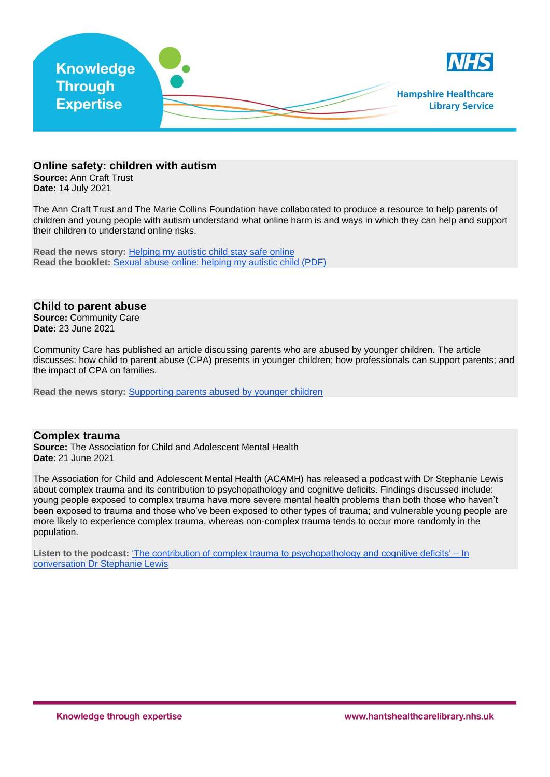

### **Online safety: children with autism**

**Source:** Ann Craft Trust **Date:** 14 July 2021

The Ann Craft Trust and The Marie Collins Foundation have collaborated to produce a resource to help parents of children and young people with autism understand what online harm is and ways in which they can help and support their children to understand online risks.

**Read the news story:** [Helping my autistic child stay safe online](http://email.nspcc.org.uk/c/1dZtLxXEJiA6B6TIiWjv49lpYI) **Read the booklet:** [Sexual abuse online: helping my autistic child \(PDF\)](http://email.nspcc.org.uk/c/1dZtMfQrx2CV5KFUprAOV86aYh)

**Child to parent abuse Source:** Community Care

**Date:** 23 June 2021

Community Care has published an article discussing parents who are abused by younger children. The article discusses: how child to parent abuse (CPA) presents in younger children; how professionals can support parents; and the impact of CPA on families.

**Read the news story:** [Supporting parents abused by younger children](http://email.nspcc.org.uk/c/1dBRCEma0GIBO9am5r9qEWh9DB)

### **Complex trauma**

**Source:** The Association for Child and Adolescent Mental Health **Date**: 21 June 2021

The Association for Child and Adolescent Mental Health (ACAMH) has released a podcast with Dr Stephanie Lewis about complex trauma and its contribution to psychopathology and cognitive deficits. Findings discussed include: young people exposed to complex trauma have more severe mental health problems than both those who haven't been exposed to trauma and those who've been exposed to other types of trauma; and vulnerable young people are more likely to experience complex trauma, whereas non-complex trauma tends to occur more randomly in the population.

**Listen to the podcast:** ['The contribution of complex trauma to psychopathology and cognitive deficits' –](http://email.nspcc.org.uk/c/1dBRL8XBDBgnJQuHluvgUHkfyn) In [conversation Dr Stephanie Lewis](http://email.nspcc.org.uk/c/1dBRL8XBDBgnJQuHluvgUHkfyn)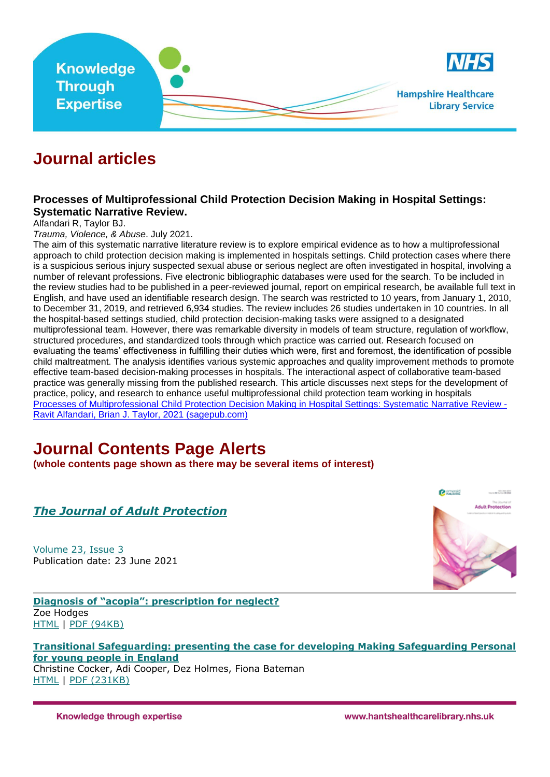

# **Journal articles**

### **Processes of Multiprofessional Child Protection Decision Making in Hospital Settings: Systematic Narrative Review.**

Alfandari R, Taylor BJ.

*Trauma, Violence, & Abuse*. July 2021.

The aim of this systematic narrative literature review is to explore empirical evidence as to how a multiprofessional approach to child protection decision making is implemented in hospitals settings. Child protection cases where there is a suspicious serious injury suspected sexual abuse or serious neglect are often investigated in hospital, involving a number of relevant professions. Five electronic bibliographic databases were used for the search. To be included in the review studies had to be published in a peer-reviewed journal, report on empirical research, be available full text in English, and have used an identifiable research design. The search was restricted to 10 years, from January 1, 2010, to December 31, 2019, and retrieved 6,934 studies. The review includes 26 studies undertaken in 10 countries. In all the hospital-based settings studied, child protection decision-making tasks were assigned to a designated multiprofessional team. However, there was remarkable diversity in models of team structure, regulation of workflow, structured procedures, and standardized tools through which practice was carried out. Research focused on evaluating the teams' effectiveness in fulfilling their duties which were, first and foremost, the identification of possible child maltreatment. The analysis identifies various systemic approaches and quality improvement methods to promote effective team-based decision-making processes in hospitals. The interactional aspect of collaborative team-based practice was generally missing from the published research. This article discusses next steps for the development of practice, policy, and research to enhance useful multiprofessional child protection team working in hospitals [Processes of Multiprofessional Child Protection Decision Making in Hospital Settings: Systematic Narrative Review -](https://journals.sagepub.com/doi/abs/10.1177/15248380211029404) [Ravit Alfandari, Brian J. Taylor, 2021 \(sagepub.com\)](https://journals.sagepub.com/doi/abs/10.1177/15248380211029404)

# **Journal Contents Page Alerts**

**(whole contents page shown as there may be several items of interest)**

## *[The Journal of Adult Protection](http://click.email.emeraldinsight.com/?qs=5f0fca6d814aaafe4031961fdb28c203876ec2675a61c2958b99e7d6412b8cf01d4dc414ce44457d492f0b79cd31f6309a9b67c8c7c4db16)*

[Volume 23, Issue 3](http://click.email.emeraldinsight.com/?qs=5f0fca6d814aaafe79d6474b72e30504ef16cc398e69f47d49864eba11ca8eb7ed701a2ed24bb56845070f133d310362eb5e8c4fd1a307ca) Publication date: 23 June 2021



**[Diagnosis of "acopia": prescription for neglect?](http://click.email.emeraldinsight.com/?qs=ae495f51bda3c8eea11906596427f265766d6911e4f3cd8c5b91187274c8fc925058a116553311a6f4c9f264b23c9a835c8076737e141321)** Zoe Hodges [HTML](http://click.email.emeraldinsight.com/?qs=ae495f51bda3c8eea11906596427f265766d6911e4f3cd8c5b91187274c8fc925058a116553311a6f4c9f264b23c9a835c8076737e141321) | [PDF \(94KB\)](http://click.email.emeraldinsight.com/?qs=ae495f51bda3c8eebe4a464ea2b2baf3a285327c7740c961c211c151d301440e0b7c9fb48c892afd62359a8f4c67353368aa722de3d81d33) 

**[Transitional Safeguarding: presenting the case for developing Making Safeguarding Personal](http://click.email.emeraldinsight.com/?qs=ae495f51bda3c8ee5af9851660dc40cb1e3aaf74eff7d249108c377144a9e52d454007aca2e1a190432ed186737181ca04235e228a636759)  [for young people in England](http://click.email.emeraldinsight.com/?qs=ae495f51bda3c8ee5af9851660dc40cb1e3aaf74eff7d249108c377144a9e52d454007aca2e1a190432ed186737181ca04235e228a636759)**

Christine Cocker, Adi Cooper, Dez Holmes, Fiona Bateman [HTML](http://click.email.emeraldinsight.com/?qs=ae495f51bda3c8ee5af9851660dc40cb1e3aaf74eff7d249108c377144a9e52d454007aca2e1a190432ed186737181ca04235e228a636759) | [PDF \(231KB\)](http://click.email.emeraldinsight.com/?qs=ae495f51bda3c8ee7ac45e8260df0f13d8b4124d1699542ffd9131f860fb5cfe0eda651c9151b36647a34a7a6ec5a7a45075158c5d3bcf6b) 

Knowledge through expertise